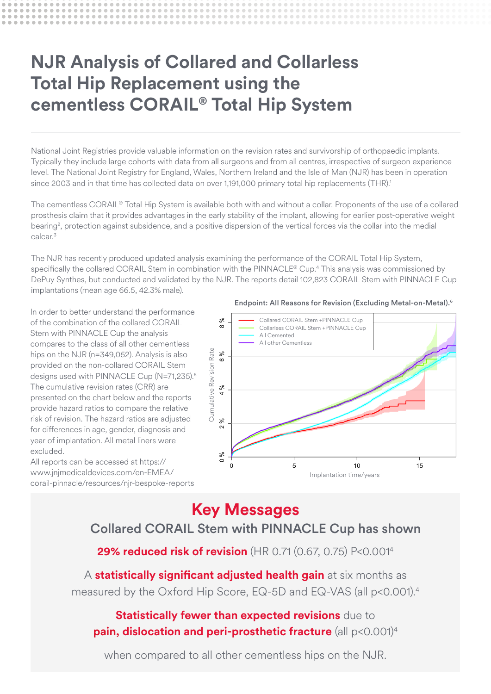# **NJR Analysis of Collared and Collarless Total Hip Replacement using the cementless CORAIL® Total Hip System**

National Joint Registries provide valuable information on the revision rates and survivorship of orthopaedic implants. Typically they include large cohorts with data from all surgeons and from all centres, irrespective of surgeon experience level. The National Joint Registry for England, Wales, Northern Ireland and the Isle of Man (NJR) has been in operation since 2003 and in that time has collected data on over 1,191,000 primary total hip replacements (THR).<sup>1</sup>

The cementless CORAIL® Total Hip System is available both with and without a collar. Proponents of the use of a collared prosthesis claim that it provides advantages in the early stability of the implant, allowing for earlier post-operative weight bearing<sup>2</sup>, protection against subsidence, and a positive dispersion of the vertical forces via the collar into the medial calcar.<sup>3</sup>

The NJR has recently produced updated analysis examining the performance of the CORAIL Total Hip System, specifically the collared CORAIL Stem in combination with the PINNACLE® Cup.4 This analysis was commissioned by **DePuy Synthes, but conducted and validated by the NJR. The reports detail 102,823 CORAIL Stem with PINNACLE Cup** implantations (mean age 66.5, 42.3% male).

In order to better understand the performance of the combination of the collared CORAIL Stem with PINNACLE Cup the analysis compares to the class of all other cementless hips on the NJR (n=349,052). Analysis is also provided on the non-collared CORAIL Stem designs used with PINNACLE Cup (N=71,235).<sup>5</sup> The cumulative revision rates (CRR) are presented on the chart below and the reports provide hazard ratios to compare the relative risk of revision. The hazard ratios are adjusted for differences in age, gender, diagnosis and year of implantation. All metal liners were excluded.

All reports can be accessed at https:// www.jnjmedicaldevices.com/en-EMEA/ corail-pinnacle/resources/njr-bespoke-reports

### Endpoint: All Reasons for Revision (Excluding Metal-on-Metal).6



### Key Messages Rate is only reported for times where more than 40 remain at risk

## Collared CORAIL Stem with PINNACLE Cup has shown

**29% reduced risk of revision** (HR 0.71 (0.67, 0.75) P<0.001<sup>4</sup>

A **statistically significant adjusted health gain** at six months as measured by the Oxford Hip Score, EQ-5D and EQ-VAS (all p<0.001).4

# **Statistically fewer than expected revisions** due to **pain, dislocation and peri-prosthetic fracture** (all p<0.001)4

when compared to all other cementless hips on the NJR.